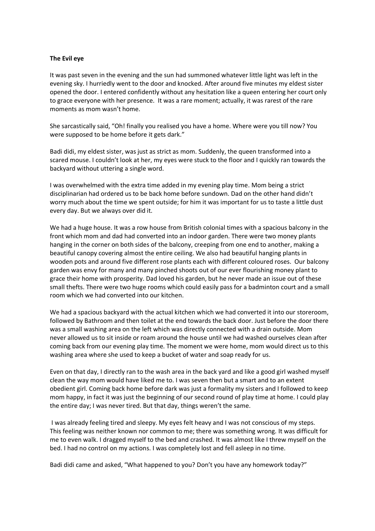## **The Evil eye**

It was past seven in the evening and the sun had summoned whatever little light was left in the evening sky. I hurriedly went to the door and knocked. After around five minutes my eldest sister opened the door. I entered confidently without any hesitation like a queen entering her court only to grace everyone with her presence. It was a rare moment; actually, it was rarest of the rare moments as mom wasn't home.

She sarcastically said, "Oh! finally you realised you have a home. Where were you till now? You were supposed to be home before it gets dark."

Badi didi, my eldest sister, was just as strict as mom. Suddenly, the queen transformed into a scared mouse. I couldn't look at her, my eyes were stuck to the floor and I quickly ran towards the backyard without uttering a single word.

I was overwhelmed with the extra time added in my evening play time. Mom being a strict disciplinarian had ordered us to be back home before sundown. Dad on the other hand didn't worry much about the time we spent outside; for him it was important for us to taste a little dust every day. But we always over did it.

We had a huge house. It was a row house from British colonial times with a spacious balcony in the front which mom and dad had converted into an indoor garden. There were two money plants hanging in the corner on both sides of the balcony, creeping from one end to another, making a beautiful canopy covering almost the entire ceiling. We also had beautiful hanging plants in wooden pots and around five different rose plants each with different coloured roses. Our balcony garden was envy for many and many pinched shoots out of our ever flourishing money plant to grace their home with prosperity. Dad loved his garden, but he never made an issue out of these small thefts. There were two huge rooms which could easily pass for a badminton court and a small room which we had converted into our kitchen.

We had a spacious backyard with the actual kitchen which we had converted it into our storeroom, followed by Bathroom and then toilet at the end towards the back door. Just before the door there was a small washing area on the left which was directly connected with a drain outside. Mom never allowed us to sit inside or roam around the house until we had washed ourselves clean after coming back from our evening play time. The moment we were home, mom would direct us to this washing area where she used to keep a bucket of water and soap ready for us.

Even on that day, I directly ran to the wash area in the back yard and like a good girl washed myself clean the way mom would have liked me to. I was seven then but a smart and to an extent obedient girl. Coming back home before dark was just a formality my sisters and I followed to keep mom happy, in fact it was just the beginning of our second round of play time at home. I could play the entire day; I was never tired. But that day, things weren't the same.

I was already feeling tired and sleepy. My eyes felt heavy and I was not conscious of my steps. This feeling was neither known nor common to me; there was something wrong. It was difficult for me to even walk. I dragged myself to the bed and crashed. It was almost like I threw myself on the bed. I had no control on my actions. I was completely lost and fell asleep in no time.

Badi didi came and asked, "What happened to you? Don't you have any homework today?"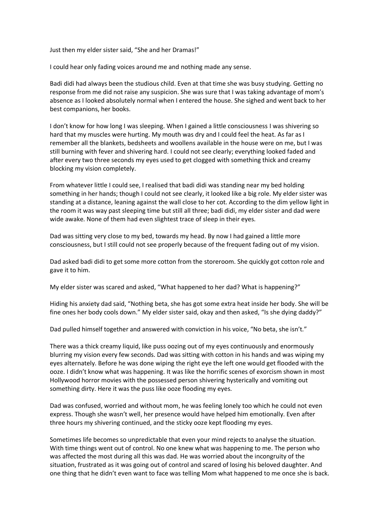Just then my elder sister said, "She and her Dramas!"

I could hear only fading voices around me and nothing made any sense.

Badi didi had always been the studious child. Even at that time she was busy studying. Getting no response from me did not raise any suspicion. She was sure that I was taking advantage of mom's absence as I looked absolutely normal when I entered the house. She sighed and went back to her best companions, her books.

I don't know for how long I was sleeping. When I gained a little consciousness I was shivering so hard that my muscles were hurting. My mouth was dry and I could feel the heat. As far as I remember all the blankets, bedsheets and woollens available in the house were on me, but I was still burning with fever and shivering hard. I could not see clearly; everything looked faded and after every two three seconds my eyes used to get clogged with something thick and creamy blocking my vision completely.

From whatever little I could see, I realised that badi didi was standing near my bed holding something in her hands; though I could not see clearly, it looked like a big role. My elder sister was standing at a distance, leaning against the wall close to her cot. According to the dim yellow light in the room it was way past sleeping time but still all three; badi didi, my elder sister and dad were wide awake. None of them had even slightest trace of sleep in their eyes.

Dad was sitting very close to my bed, towards my head. By now I had gained a little more consciousness, but I still could not see properly because of the frequent fading out of my vision.

Dad asked badi didi to get some more cotton from the storeroom. She quickly got cotton role and gave it to him.

My elder sister was scared and asked, "What happened to her dad? What is happening?"

Hiding his anxiety dad said, "Nothing beta, she has got some extra heat inside her body. She will be fine ones her body cools down." My elder sister said, okay and then asked, "Is she dying daddy?"

Dad pulled himself together and answered with conviction in his voice, "No beta, she isn't."

There was a thick creamy liquid, like puss oozing out of my eyes continuously and enormously blurring my vision every few seconds. Dad was sitting with cotton in his hands and was wiping my eyes alternately. Before he was done wiping the right eye the left one would get flooded with the ooze. I didn't know what was happening. It was like the horrific scenes of exorcism shown in most Hollywood horror movies with the possessed person shivering hysterically and vomiting out something dirty. Here it was the puss like ooze flooding my eyes.

Dad was confused, worried and without mom, he was feeling lonely too which he could not even express. Though she wasn't well, her presence would have helped him emotionally. Even after three hours my shivering continued, and the sticky ooze kept flooding my eyes.

Sometimes life becomes so unpredictable that even your mind rejects to analyse the situation. With time things went out of control. No one knew what was happening to me. The person who was affected the most during all this was dad. He was worried about the incongruity of the situation, frustrated as it was going out of control and scared of losing his beloved daughter. And one thing that he didn't even want to face was telling Mom what happened to me once she is back.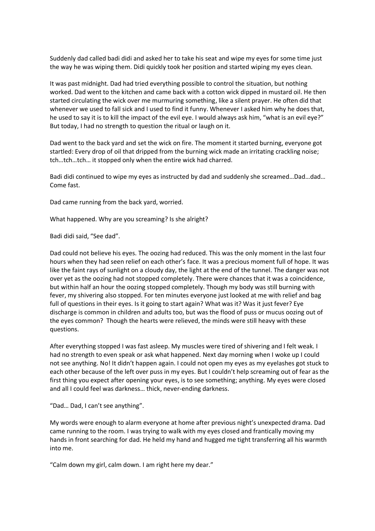Suddenly dad called badi didi and asked her to take his seat and wipe my eyes for some time just the way he was wiping them. Didi quickly took her position and started wiping my eyes clean.

It was past midnight. Dad had tried everything possible to control the situation, but nothing worked. Dad went to the kitchen and came back with a cotton wick dipped in mustard oil. He then started circulating the wick over me murmuring something, like a silent prayer. He often did that whenever we used to fall sick and I used to find it funny. Whenever I asked him why he does that, he used to say it is to kill the impact of the evil eye. I would always ask him, "what is an evil eye?" But today, I had no strength to question the ritual or laugh on it.

Dad went to the back yard and set the wick on fire. The moment it started burning, everyone got startled: Every drop of oil that dripped from the burning wick made an irritating crackling noise; tch…tch…tch… it stopped only when the entire wick had charred.

Badi didi continued to wipe my eyes as instructed by dad and suddenly she screamed…Dad…dad… Come fast.

Dad came running from the back yard, worried.

What happened. Why are you screaming? Is she alright?

Badi didi said, "See dad".

Dad could not believe his eyes. The oozing had reduced. This was the only moment in the last four hours when they had seen relief on each other's face. It was a precious moment full of hope. It was like the faint rays of sunlight on a cloudy day, the light at the end of the tunnel. The danger was not over yet as the oozing had not stopped completely. There were chances that it was a coincidence, but within half an hour the oozing stopped completely. Though my body was still burning with fever, my shivering also stopped. For ten minutes everyone just looked at me with relief and bag full of questions in their eyes. Is it going to start again? What was it? Was it just fever? Eye discharge is common in children and adults too, but was the flood of puss or mucus oozing out of the eyes common? Though the hearts were relieved, the minds were still heavy with these questions.

After everything stopped I was fast asleep. My muscles were tired of shivering and I felt weak. I had no strength to even speak or ask what happened. Next day morning when I woke up I could not see anything. No! It didn't happen again. I could not open my eyes as my eyelashes got stuck to each other because of the left over puss in my eyes. But I couldn't help screaming out of fear as the first thing you expect after opening your eyes, is to see something; anything. My eyes were closed and all I could feel was darkness… thick, never-ending darkness.

"Dad… Dad, I can't see anything".

My words were enough to alarm everyone at home after previous night's unexpected drama. Dad came running to the room. I was trying to walk with my eyes closed and frantically moving my hands in front searching for dad. He held my hand and hugged me tight transferring all his warmth into me.

"Calm down my girl, calm down. I am right here my dear."